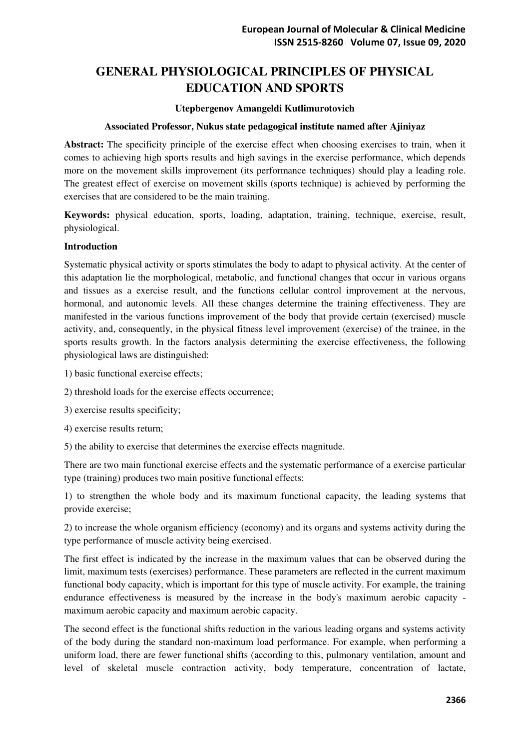# **GENERAL PHYSIOLOGICAL PRINCIPLES OF PHYSICAL EDUCATION AND SPORTS**

#### **Utepbergenov Amangeldi Kutlimurotovich**

#### **Associated Professor, Nukus state pedagogical institute named after Ajiniyaz**

**Abstract:** The specificity principle of the exercise effect when choosing exercises to train, when it comes to achieving high sports results and high savings in the exercise performance, which depends more on the movement skills improvement (its performance techniques) should play a leading role. The greatest effect of exercise on movement skills (sports technique) is achieved by performing the exercises that are considered to be the main training.

**Keywords:** physical education, sports, loading, adaptation, training, technique, exercise, result, physiological.

## **Introduction**

Systematic physical activity or sports stimulates the body to adapt to physical activity. At the center of this adaptation lie the morphological, metabolic, and functional changes that occur in various organs and tissues as a exercise result, and the functions cellular control improvement at the nervous, hormonal, and autonomic levels. All these changes determine the training effectiveness. They are manifested in the various functions improvement of the body that provide certain (exercised) muscle activity, and, consequently, in the physical fitness level improvement (exercise) of the trainee, in the sports results growth. In the factors analysis determining the exercise effectiveness, the following physiological laws are distinguished:

- 1) basic functional exercise effects;
- 2) threshold loads for the exercise effects occurrence;
- 3) exercise results specificity;
- 4) exercise results return;
- 5) the ability to exercise that determines the exercise effects magnitude.

There are two main functional exercise effects and the systematic performance of a exercise particular type (training) produces two main positive functional effects:

1) to strengthen the whole body and its maximum functional capacity, the leading systems that provide exercise;

2) to increase the whole organism efficiency (economy) and its organs and systems activity during the type performance of muscle activity being exercised.

The first effect is indicated by the increase in the maximum values that can be observed during the limit, maximum tests (exercises) performance. These parameters are reflected in the current maximum functional body capacity, which is important for this type of muscle activity. For example, the training endurance effectiveness is measured by the increase in the body's maximum aerobic capacity maximum aerobic capacity and maximum aerobic capacity.

The second effect is the functional shifts reduction in the various leading organs and systems activity of the body during the standard non-maximum load performance. For example, when performing a uniform load, there are fewer functional shifts (according to this, pulmonary ventilation, amount and level of skeletal muscle contraction activity, body temperature, concentration of lactate,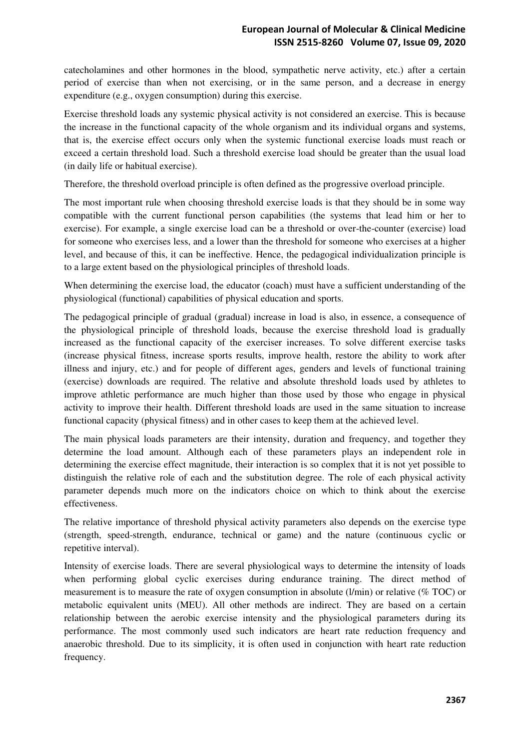catecholamines and other hormones in the blood, sympathetic nerve activity, etc.) after a certain period of exercise than when not exercising, or in the same person, and a decrease in energy expenditure (e.g., oxygen consumption) during this exercise.

Exercise threshold loads any systemic physical activity is not considered an exercise. This is because the increase in the functional capacity of the whole organism and its individual organs and systems, that is, the exercise effect occurs only when the systemic functional exercise loads must reach or exceed a certain threshold load. Such a threshold exercise load should be greater than the usual load (in daily life or habitual exercise).

Therefore, the threshold overload principle is often defined as the progressive overload principle.

The most important rule when choosing threshold exercise loads is that they should be in some way compatible with the current functional person capabilities (the systems that lead him or her to exercise). For example, a single exercise load can be a threshold or over-the-counter (exercise) load for someone who exercises less, and a lower than the threshold for someone who exercises at a higher level, and because of this, it can be ineffective. Hence, the pedagogical individualization principle is to a large extent based on the physiological principles of threshold loads.

When determining the exercise load, the educator (coach) must have a sufficient understanding of the physiological (functional) capabilities of physical education and sports.

The pedagogical principle of gradual (gradual) increase in load is also, in essence, a consequence of the physiological principle of threshold loads, because the exercise threshold load is gradually increased as the functional capacity of the exerciser increases. To solve different exercise tasks (increase physical fitness, increase sports results, improve health, restore the ability to work after illness and injury, etc.) and for people of different ages, genders and levels of functional training (exercise) downloads are required. The relative and absolute threshold loads used by athletes to improve athletic performance are much higher than those used by those who engage in physical activity to improve their health. Different threshold loads are used in the same situation to increase functional capacity (physical fitness) and in other cases to keep them at the achieved level.

The main physical loads parameters are their intensity, duration and frequency, and together they determine the load amount. Although each of these parameters plays an independent role in determining the exercise effect magnitude, their interaction is so complex that it is not yet possible to distinguish the relative role of each and the substitution degree. The role of each physical activity parameter depends much more on the indicators choice on which to think about the exercise effectiveness.

The relative importance of threshold physical activity parameters also depends on the exercise type (strength, speed-strength, endurance, technical or game) and the nature (continuous cyclic or repetitive interval).

Intensity of exercise loads. There are several physiological ways to determine the intensity of loads when performing global cyclic exercises during endurance training. The direct method of measurement is to measure the rate of oxygen consumption in absolute (l/min) or relative (% TOC) or metabolic equivalent units (MEU). All other methods are indirect. They are based on a certain relationship between the aerobic exercise intensity and the physiological parameters during its performance. The most commonly used such indicators are heart rate reduction frequency and anaerobic threshold. Due to its simplicity, it is often used in conjunction with heart rate reduction frequency.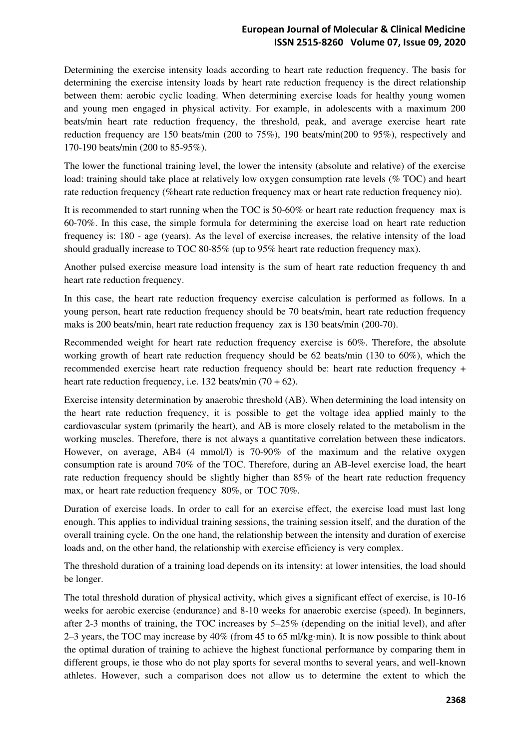## **European Journal of Molecular & Clinical Medicine ISSN 2515-8260 Volume 07, Issue 09, 2020**

Determining the exercise intensity loads according to heart rate reduction frequency. The basis for determining the exercise intensity loads by heart rate reduction frequency is the direct relationship between them: aerobic cyclic loading. When determining exercise loads for healthy young women and young men engaged in physical activity. For example, in adolescents with a maximum 200 beats/min heart rate reduction frequency, the threshold, peak, and average exercise heart rate reduction frequency are 150 beats/min (200 to 75%), 190 beats/min(200 to 95%), respectively and 170-190 beats/min (200 to 85-95%).

The lower the functional training level, the lower the intensity (absolute and relative) of the exercise load: training should take place at relatively low oxygen consumption rate levels (% TOC) and heart rate reduction frequency (%heart rate reduction frequency max or heart rate reduction frequency nio).

It is recommended to start running when the TOC is 50-60% or heart rate reduction frequency max is 60-70%. In this case, the simple formula for determining the exercise load on heart rate reduction frequency is: 180 - age (years). As the level of exercise increases, the relative intensity of the load should gradually increase to TOC 80-85% (up to 95% heart rate reduction frequency max).

Another pulsed exercise measure load intensity is the sum of heart rate reduction frequency th and heart rate reduction frequency.

In this case, the heart rate reduction frequency exercise calculation is performed as follows. In a young person, heart rate reduction frequency should be 70 beats/min, heart rate reduction frequency maks is 200 beats/min, heart rate reduction frequency zax is 130 beats/min (200-70).

Recommended weight for heart rate reduction frequency exercise is 60%. Therefore, the absolute working growth of heart rate reduction frequency should be 62 beats/min (130 to 60%), which the recommended exercise heart rate reduction frequency should be: heart rate reduction frequency + heart rate reduction frequency, i.e. 132 beats/min  $(70 + 62)$ .

Exercise intensity determination by anaerobic threshold (AB). When determining the load intensity on the heart rate reduction frequency, it is possible to get the voltage idea applied mainly to the cardiovascular system (primarily the heart), and AB is more closely related to the metabolism in the working muscles. Therefore, there is not always a quantitative correlation between these indicators. However, on average, AB4 (4 mmol/l) is 70-90% of the maximum and the relative oxygen consumption rate is around 70% of the TOC. Therefore, during an AB-level exercise load, the heart rate reduction frequency should be slightly higher than 85% of the heart rate reduction frequency max, or heart rate reduction frequency 80%, or TOC 70%.

Duration of exercise loads. In order to call for an exercise effect, the exercise load must last long enough. This applies to individual training sessions, the training session itself, and the duration of the overall training cycle. On the one hand, the relationship between the intensity and duration of exercise loads and, on the other hand, the relationship with exercise efficiency is very complex.

The threshold duration of a training load depends on its intensity: at lower intensities, the load should be longer.

The total threshold duration of physical activity, which gives a significant effect of exercise, is 10-16 weeks for aerobic exercise (endurance) and 8-10 weeks for anaerobic exercise (speed). In beginners, after 2-3 months of training, the TOC increases by 5–25% (depending on the initial level), and after 2–3 years, the TOC may increase by 40% (from 45 to 65 ml/kg⋅min). It is now possible to think about the optimal duration of training to achieve the highest functional performance by comparing them in different groups, ie those who do not play sports for several months to several years, and well-known athletes. However, such a comparison does not allow us to determine the extent to which the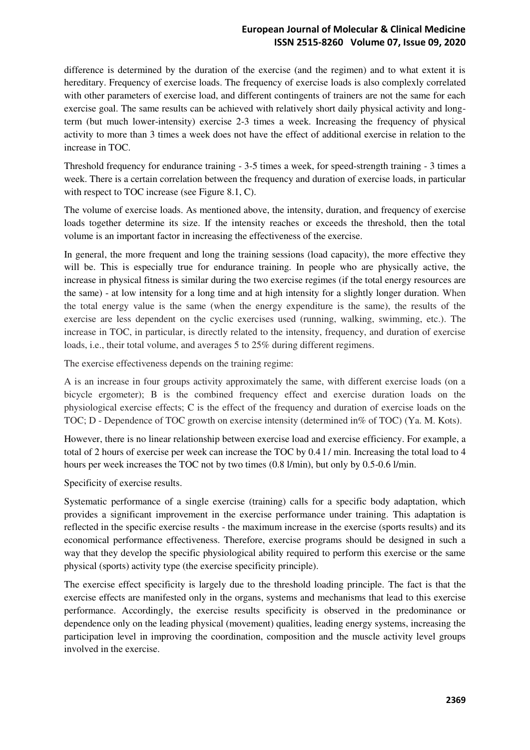## **European Journal of Molecular & Clinical Medicine ISSN 2515-8260 Volume 07, Issue 09, 2020**

difference is determined by the duration of the exercise (and the regimen) and to what extent it is hereditary. Frequency of exercise loads. The frequency of exercise loads is also complexly correlated with other parameters of exercise load, and different contingents of trainers are not the same for each exercise goal. The same results can be achieved with relatively short daily physical activity and longterm (but much lower-intensity) exercise 2-3 times a week. Increasing the frequency of physical activity to more than 3 times a week does not have the effect of additional exercise in relation to the increase in TOC.

Threshold frequency for endurance training - 3-5 times a week, for speed-strength training - 3 times a week. There is a certain correlation between the frequency and duration of exercise loads, in particular with respect to TOC increase (see Figure 8.1, C).

The volume of exercise loads. As mentioned above, the intensity, duration, and frequency of exercise loads together determine its size. If the intensity reaches or exceeds the threshold, then the total volume is an important factor in increasing the effectiveness of the exercise.

In general, the more frequent and long the training sessions (load capacity), the more effective they will be. This is especially true for endurance training. In people who are physically active, the increase in physical fitness is similar during the two exercise regimes (if the total energy resources are the same) - at low intensity for a long time and at high intensity for a slightly longer duration. When the total energy value is the same (when the energy expenditure is the same), the results of the exercise are less dependent on the cyclic exercises used (running, walking, swimming, etc.). The increase in TOC, in particular, is directly related to the intensity, frequency, and duration of exercise loads, i.e., their total volume, and averages 5 to 25% during different regimens.

The exercise effectiveness depends on the training regime:

A is an increase in four groups activity approximately the same, with different exercise loads (on a bicycle ergometer); B is the combined frequency effect and exercise duration loads on the physiological exercise effects; C is the effect of the frequency and duration of exercise loads on the TOC; D - Dependence of TOC growth on exercise intensity (determined in% of TOC) (Ya. M. Kots).

However, there is no linear relationship between exercise load and exercise efficiency. For example, a total of 2 hours of exercise per week can increase the TOC by 0.4 l / min. Increasing the total load to 4 hours per week increases the TOC not by two times (0.8 l/min), but only by 0.5-0.6 l/min.

Specificity of exercise results.

Systematic performance of a single exercise (training) calls for a specific body adaptation, which provides a significant improvement in the exercise performance under training. This adaptation is reflected in the specific exercise results - the maximum increase in the exercise (sports results) and its economical performance effectiveness. Therefore, exercise programs should be designed in such a way that they develop the specific physiological ability required to perform this exercise or the same physical (sports) activity type (the exercise specificity principle).

The exercise effect specificity is largely due to the threshold loading principle. The fact is that the exercise effects are manifested only in the organs, systems and mechanisms that lead to this exercise performance. Accordingly, the exercise results specificity is observed in the predominance or dependence only on the leading physical (movement) qualities, leading energy systems, increasing the participation level in improving the coordination, composition and the muscle activity level groups involved in the exercise.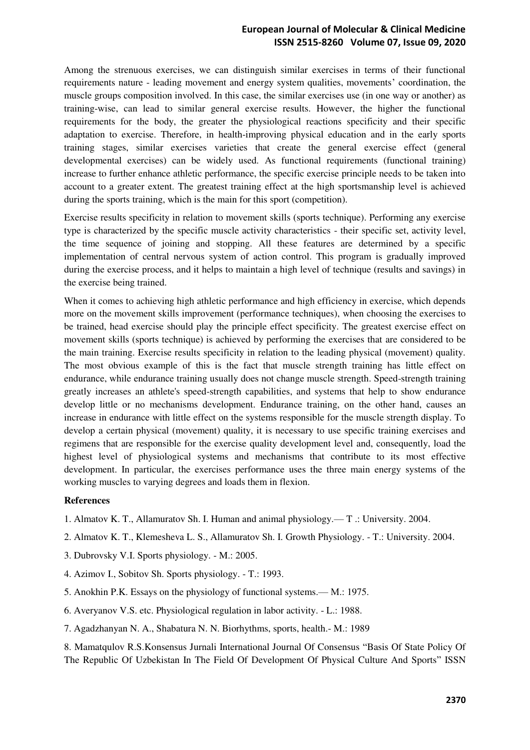## **European Journal of Molecular & Clinical Medicine ISSN 2515-8260 Volume 07, Issue 09, 2020**

Among the strenuous exercises, we can distinguish similar exercises in terms of their functional requirements nature - leading movement and energy system qualities, movements' coordination, the muscle groups composition involved. In this case, the similar exercises use (in one way or another) as training-wise, can lead to similar general exercise results. However, the higher the functional requirements for the body, the greater the physiological reactions specificity and their specific adaptation to exercise. Therefore, in health-improving physical education and in the early sports training stages, similar exercises varieties that create the general exercise effect (general developmental exercises) can be widely used. As functional requirements (functional training) increase to further enhance athletic performance, the specific exercise principle needs to be taken into account to a greater extent. The greatest training effect at the high sportsmanship level is achieved during the sports training, which is the main for this sport (competition).

Exercise results specificity in relation to movement skills (sports technique). Performing any exercise type is characterized by the specific muscle activity characteristics - their specific set, activity level, the time sequence of joining and stopping. All these features are determined by a specific implementation of central nervous system of action control. This program is gradually improved during the exercise process, and it helps to maintain a high level of technique (results and savings) in the exercise being trained.

When it comes to achieving high athletic performance and high efficiency in exercise, which depends more on the movement skills improvement (performance techniques), when choosing the exercises to be trained, head exercise should play the principle effect specificity. The greatest exercise effect on movement skills (sports technique) is achieved by performing the exercises that are considered to be the main training. Exercise results specificity in relation to the leading physical (movement) quality. The most obvious example of this is the fact that muscle strength training has little effect on endurance, while endurance training usually does not change muscle strength. Speed-strength training greatly increases an athlete's speed-strength capabilities, and systems that help to show endurance develop little or no mechanisms development. Endurance training, on the other hand, causes an increase in endurance with little effect on the systems responsible for the muscle strength display. To develop a certain physical (movement) quality, it is necessary to use specific training exercises and regimens that are responsible for the exercise quality development level and, consequently, load the highest level of physiological systems and mechanisms that contribute to its most effective development. In particular, the exercises performance uses the three main energy systems of the working muscles to varying degrees and loads them in flexion.

## **References**

- 1. Almatov K. T., Allamuratov Sh. I. Human and animal physiology.— T .: University. 2004.
- 2. Almatov K. T., Klemesheva L. S., Allamuratov Sh. I. Growth Physiology. T.: University. 2004.
- 3. Dubrovsky V.I. Sports physiology. M.: 2005.
- 4. Azimov I., Sobitov Sh. Sports physiology. T.: 1993.
- 5. Anokhin P.K. Essays on the physiology of functional systems.— М.: 1975.
- 6. Averyanov V.S. etc. Physiological regulation in labor activity. L.: 1988.
- 7. Agadzhanyan N. A., Shabatura N. N. Biorhythms, sports, health.- M.: 1989

8. Mamatqulov R.S.Konsensus Jurnali International Journal Of Consensus "Basis Of State Policy Of The Republic Of Uzbekistan In The Field Of Development Of Physical Culture And Sports" ISSN